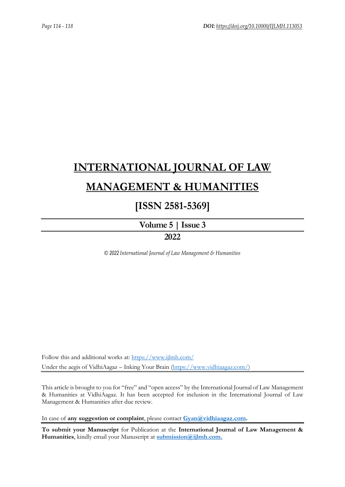# **[INTERNATIONAL JOURNAL OF LAW](https://www.ijlmh.com/)  [MANAGEMENT & HUMANITIES](https://www.ijlmh.com/)**

### **[ISSN 2581-5369]**

**[Volume 5](https://www.ijlmh.com/publications/volume-v-issue-iii/) | Issue 3 2022**

*© 2022 International Journal of Law Management & Humanities*

Follow this and additional works at:<https://www.ijlmh.com/> Under the aegis of VidhiAagaz – Inking Your Brain [\(https://www.vidhiaagaz.com/\)](https://www.vidhiaagaz.com/)

This article is brought to you for "free" and "open access" by the International Journal of Law Management & Humanities at VidhiAagaz. It has been accepted for inclusion in the International Journal of Law Management & Humanities after due review.

In case of **any suggestion or complaint**, please contact **[Gyan@vidhiaagaz.com.](mailto:Gyan@vidhiaagaz.com)** 

**To submit your Manuscript** for Publication at the **International Journal of Law Management & Humanities**, kindly email your Manuscript at **[submission@ijlmh.com.](mailto:submission@ijlmh.com)**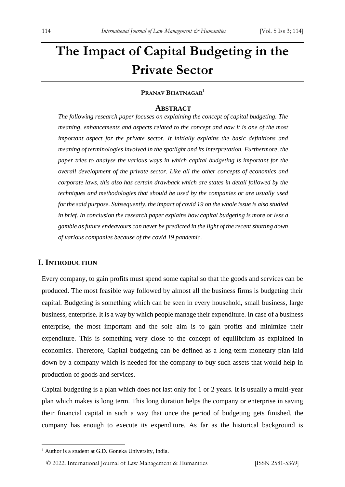## **The Impact of Capital Budgeting in the Private Sector**

#### **PRANAV BHATNAGAR<sup>1</sup>**

#### **ABSTRACT**

*The following research paper focuses on explaining the concept of capital budgeting. The meaning, enhancements and aspects related to the concept and how it is one of the most important aspect for the private sector. It initially explains the basic definitions and meaning of terminologies involved in the spotlight and its interpretation. Furthermore, the paper tries to analyse the various ways in which capital budgeting is important for the overall development of the private sector. Like all the other concepts of economics and corporate laws, this also has certain drawback which are states in detail followed by the techniques and methodologies that should be used by the companies or are usually used for the said purpose. Subsequently, the impact of covid 19 on the whole issue is also studied in brief. In conclusion the research paper explains how capital budgeting is more or less a gamble as future endeavours can never be predicted in the light of the recent shutting down of various companies because of the covid 19 pandemic.*

#### **I. INTRODUCTION**

Every company, to gain profits must spend some capital so that the goods and services can be produced. The most feasible way followed by almost all the business firms is budgeting their capital. Budgeting is something which can be seen in every household, small business, large business, enterprise. It is a way by which people manage their expenditure. In case of a business enterprise, the most important and the sole aim is to gain profits and minimize their expenditure. This is something very close to the concept of equilibrium as explained in economics. Therefore, Capital budgeting can be defined as a long-term monetary plan laid down by a company which is needed for the company to buy such assets that would help in production of goods and services.

Capital budgeting is a plan which does not last only for 1 or 2 years. It is usually a multi-year plan which makes is long term. This long duration helps the company or enterprise in saving their financial capital in such a way that once the period of budgeting gets finished, the company has enough to execute its expenditure. As far as the historical background is

<sup>&</sup>lt;sup>1</sup> Author is a student at G.D. Goneka University, India.

<sup>© 2022.</sup> International Journal of [Law Management & Humanities](https://www.ijlmh.com/) [ISSN 2581-5369]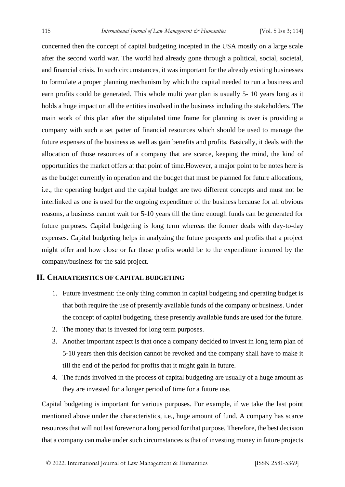concerned then the concept of capital budgeting incepted in the USA mostly on a large scale after the second world war. The world had already gone through a political, social, societal, and financial crisis. In such circumstances, it was important for the already existing businesses to formulate a proper planning mechanism by which the capital needed to run a business and earn profits could be generated. This whole multi year plan is usually 5- 10 years long as it holds a huge impact on all the entities involved in the business including the stakeholders. The main work of this plan after the stipulated time frame for planning is over is providing a company with such a set patter of financial resources which should be used to manage the future expenses of the business as well as gain benefits and profits. Basically, it deals with the allocation of those resources of a company that are scarce, keeping the mind, the kind of opportunities the market offers at that point of time.However, a major point to be notes here is as the budget currently in operation and the budget that must be planned for future allocations, i.e., the operating budget and the capital budget are two different concepts and must not be interlinked as one is used for the ongoing expenditure of the business because for all obvious reasons, a business cannot wait for 5-10 years till the time enough funds can be generated for future purposes. Capital budgeting is long term whereas the former deals with day-to-day expenses. Capital budgeting helps in analyzing the future prospects and profits that a project might offer and how close or far those profits would be to the expenditure incurred by the company/business for the said project.

#### **II. CHARATERSTICS OF CAPITAL BUDGETING**

- 1. Future investment: the only thing common in capital budgeting and operating budget is that both require the use of presently available funds of the company or business. Under the concept of capital budgeting, these presently available funds are used for the future.
- 2. The money that is invested for long term purposes.
- 3. Another important aspect is that once a company decided to invest in long term plan of 5-10 years then this decision cannot be revoked and the company shall have to make it till the end of the period for profits that it might gain in future.
- 4. The funds involved in the process of capital budgeting are usually of a huge amount as they are invested for a longer period of time for a future use.

Capital budgeting is important for various purposes. For example, if we take the last point mentioned above under the characteristics, i.e., huge amount of fund. A company has scarce resources that will not last forever or a long period for that purpose. Therefore, the best decision that a company can make under such circumstances is that of investing money in future projects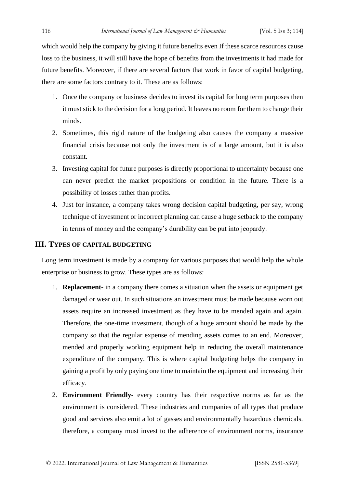which would help the company by giving it future benefits even If these scarce resources cause loss to the business, it will still have the hope of benefits from the investments it had made for future benefits. Moreover, if there are several factors that work in favor of capital budgeting, there are some factors contrary to it. These are as follows:

- 1. Once the company or business decides to invest its capital for long term purposes then it must stick to the decision for a long period. It leaves no room for them to change their minds.
- 2. Sometimes, this rigid nature of the budgeting also causes the company a massive financial crisis because not only the investment is of a large amount, but it is also constant.
- 3. Investing capital for future purposes is directly proportional to uncertainty because one can never predict the market propositions or condition in the future. There is a possibility of losses rather than profits.
- 4. Just for instance, a company takes wrong decision capital budgeting, per say, wrong technique of investment or incorrect planning can cause a huge setback to the company in terms of money and the company's durability can be put into jeopardy.

#### **III. TYPES OF CAPITAL BUDGETING**

Long term investment is made by a company for various purposes that would help the whole enterprise or business to grow. These types are as follows:

- 1. **Replacement** in a company there comes a situation when the assets or equipment get damaged or wear out. In such situations an investment must be made because worn out assets require an increased investment as they have to be mended again and again. Therefore, the one-time investment, though of a huge amount should be made by the company so that the regular expense of mending assets comes to an end. Moreover, mended and properly working equipment help in reducing the overall maintenance expenditure of the company. This is where capital budgeting helps the company in gaining a profit by only paying one time to maintain the equipment and increasing their efficacy.
- 2. **Environment Friendly-** every country has their respective norms as far as the environment is considered. These industries and companies of all types that produce good and services also emit a lot of gasses and environmentally hazardous chemicals. therefore, a company must invest to the adherence of environment norms, insurance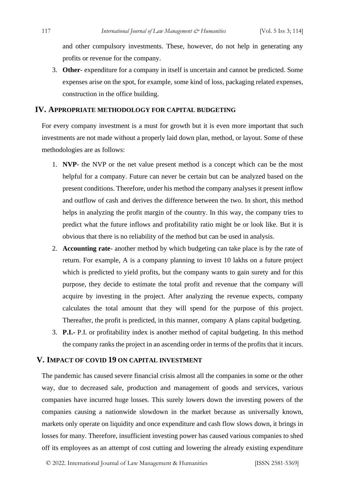and other compulsory investments. These, however, do not help in generating any profits or revenue for the company.

3. **Other**- expenditure for a company in itself is uncertain and cannot be predicted. Some expenses arise on the spot, for example, some kind of loss, packaging related expenses, construction in the office building.

#### **IV. APPROPRIATE METHODOLOGY FOR CAPITAL BUDGETING**

For every company investment is a must for growth but it is even more important that such investments are not made without a properly laid down plan, method, or layout. Some of these methodologies are as follows:

- 1. **NVP** the NVP or the net value present method is a concept which can be the most helpful for a company. Future can never be certain but can be analyzed based on the present conditions. Therefore, under his method the company analyses it present inflow and outflow of cash and derives the difference between the two. In short, this method helps in analyzing the profit margin of the country. In this way, the company tries to predict what the future inflows and profitability ratio might be or look like. But it is obvious that there is no reliability of the method but can be used in analysis.
- 2. **Accounting rate** another method by which budgeting can take place is by the rate of return. For example, A is a company planning to invest 10 lakhs on a future project which is predicted to yield profits, but the company wants to gain surety and for this purpose, they decide to estimate the total profit and revenue that the company will acquire by investing in the project. After analyzing the revenue expects, company calculates the total amount that they will spend for the purpose of this project. Thereafter, the profit is predicted, in this manner, company A plans capital budgeting.
- 3. **P.I.-** P.I. or profitability index is another method of capital budgeting. In this method the company ranks the project in an ascending order in terms of the profits that it incurs.

#### **V. IMPACT OF COVID 19 ON CAPITAL INVESTMENT**

The pandemic has caused severe financial crisis almost all the companies in some or the other way, due to decreased sale, production and management of goods and services, various companies have incurred huge losses. This surely lowers down the investing powers of the companies causing a nationwide slowdown in the market because as universally known, markets only operate on liquidity and once expenditure and cash flow slows down, it brings in losses for many. Therefore, insufficient investing power has caused various companies to shed off its employees as an attempt of cost cutting and lowering the already existing expenditure